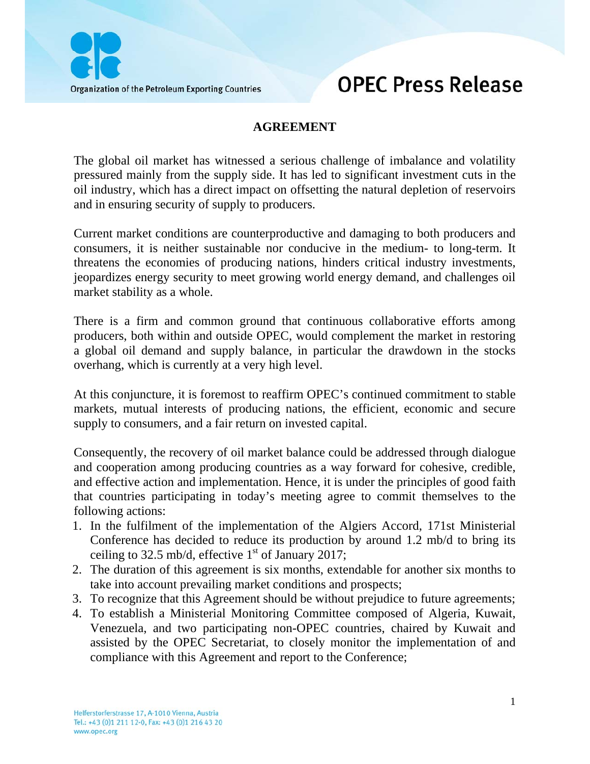



## **AGREEMENT**

The global oil market has witnessed a serious challenge of imbalance and volatility pressured mainly from the supply side. It has led to significant investment cuts in the oil industry, which has a direct impact on offsetting the natural depletion of reservoirs and in ensuring security of supply to producers.

Current market conditions are counterproductive and damaging to both producers and consumers, it is neither sustainable nor conducive in the medium- to long-term. It threatens the economies of producing nations, hinders critical industry investments, jeopardizes energy security to meet growing world energy demand, and challenges oil market stability as a whole.

There is a firm and common ground that continuous collaborative efforts among producers, both within and outside OPEC, would complement the market in restoring a global oil demand and supply balance, in particular the drawdown in the stocks overhang, which is currently at a very high level.

At this conjuncture, it is foremost to reaffirm OPEC's continued commitment to stable markets, mutual interests of producing nations, the efficient, economic and secure supply to consumers, and a fair return on invested capital.

Consequently, the recovery of oil market balance could be addressed through dialogue and cooperation among producing countries as a way forward for cohesive, credible, and effective action and implementation. Hence, it is under the principles of good faith that countries participating in today's meeting agree to commit themselves to the following actions:

- 1. In the fulfilment of the implementation of the Algiers Accord, 171st Ministerial Conference has decided to reduce its production by around 1.2 mb/d to bring its ceiling to 32.5 mb/d, effective  $1<sup>st</sup>$  of January 2017;
- 2. The duration of this agreement is six months, extendable for another six months to take into account prevailing market conditions and prospects;
- 3. To recognize that this Agreement should be without prejudice to future agreements;
- 4. To establish a Ministerial Monitoring Committee composed of Algeria, Kuwait, Venezuela, and two participating non-OPEC countries, chaired by Kuwait and assisted by the OPEC Secretariat, to closely monitor the implementation of and compliance with this Agreement and report to the Conference;